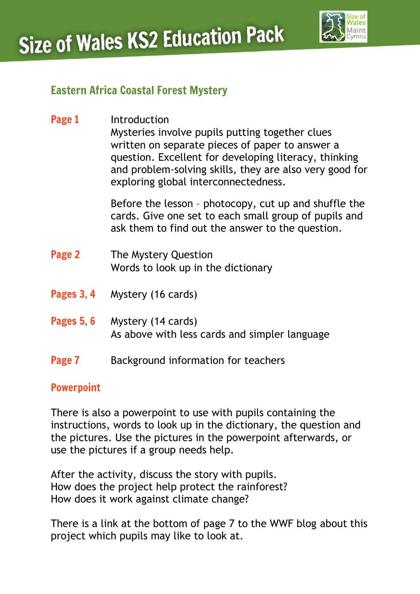

### Eastern Africa Coastal Forest Mystery

**Page 1** Introduction Mysteries involve pupils putting together clues written on separate pieces of paper to answer a question. Excellent for developing literacy, thinking and problem-solving skills, they are also very good for exploring global interconnectedness.

> Before the lesson – photocopy, cut up and shuffle the cards. Give one set to each small group of pupils and ask them to find out the answer to the question.

- Page 2 The Mystery Question Words to look up in the dictionary
- Pages 3, 4 Mystery (16 cards)

### Pages 5, 6 Mystery (14 cards) As above with less cards and simpler language

**Page 7** Background information for teachers

#### Powerpoint

There is also a powerpoint to use with pupils containing the instructions, words to look up in the dictionary, the question and the pictures. Use the pictures in the powerpoint afterwards, or use the pictures if a group needs help.

After the activity, discuss the story with pupils. How does the project help protect the rainforest? How does it work against climate change?

There is a link at the bottom of page 7 to the WWF blog about this project which pupils may like to look at.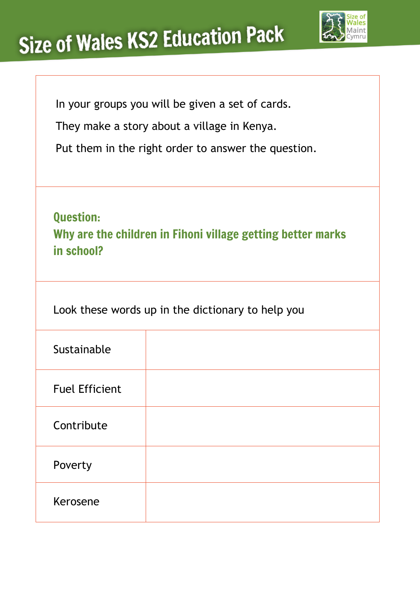

|  |  | In your groups you will be given a set of cards. |  |  |  |  |  |
|--|--|--------------------------------------------------|--|--|--|--|--|
|--|--|--------------------------------------------------|--|--|--|--|--|

They make a story about a village in Kenya.

Put them in the right order to answer the question.

Question: Why are the children in Fihoni village getting better marks in school?

Look these words up in the dictionary to help you

| Sustainable           |  |
|-----------------------|--|
| <b>Fuel Efficient</b> |  |
| Contribute            |  |
| Poverty               |  |
| Kerosene              |  |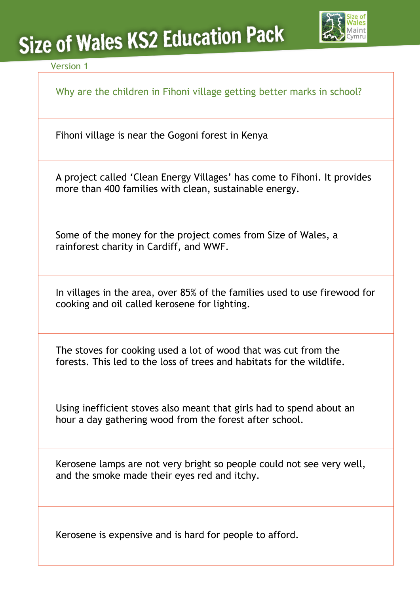

#### Version 1

Why are the children in Fihoni village getting better marks in school?

Fihoni village is near the Gogoni forest in Kenya

A project called 'Clean Energy Villages' has come to Fihoni. It provides more than 400 families with clean, sustainable energy.

Some of the money for the project comes from Size of Wales, a rainforest charity in Cardiff, and WWF.

In villages in the area, over 85% of the families used to use firewood for cooking and oil called kerosene for lighting.

The stoves for cooking used a lot of wood that was cut from the forests. This led to the loss of trees and habitats for the wildlife.

Using inefficient stoves also meant that girls had to spend about an hour a day gathering wood from the forest after school.

Kerosene lamps are not very bright so people could not see very well, and the smoke made their eyes red and itchy.

Kerosene is expensive and is hard for people to afford.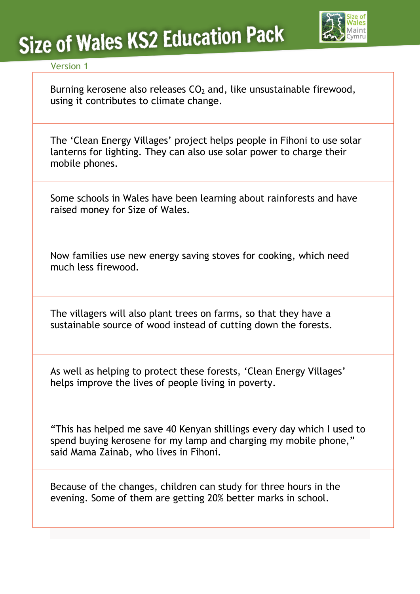

#### Version 1

Burning kerosene also releases  $CO<sub>2</sub>$  and, like unsustainable firewood, using it contributes to [climate change.](http://www.wwf.org.uk/what_we_do/tackling_climate_change/)

The 'Clean Energy Villages' project helps people in Fihoni to use solar lanterns for lighting. They can also use solar power to charge their mobile phones.

Some schools in Wales have been learning about rainforests and have raised money for Size of Wales.

Now families use new energy saving stoves for cooking, which need much less firewood.

The villagers will also plant trees on farms, so that they have a sustainable source of wood instead of cutting down the forests.

As well as helping to protect these forests, 'Clean Energy Villages' helps improve the lives of people living in poverty.

"This has helped me save 40 Kenyan shillings every day which I used to spend buying kerosene for my lamp and charging my mobile phone," said Mama Zainab, who lives in Fihoni.

Because of the changes, children can study for three hours in the evening. Some of them are getting 20% better marks in school.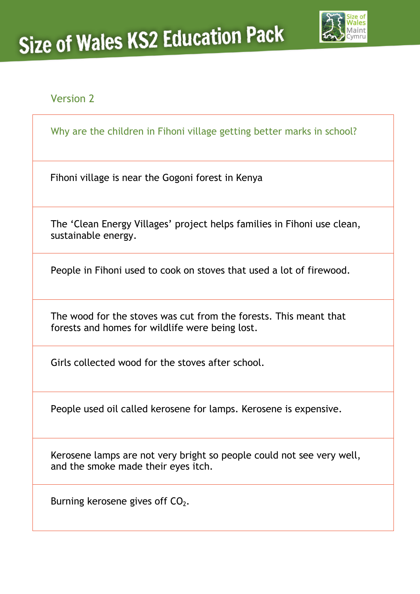

#### Version 2

Why are the children in Fihoni village getting better marks in school?

Fihoni village is near the Gogoni forest in Kenya

The 'Clean Energy Villages' project helps families in Fihoni use clean, sustainable energy.

People in Fihoni used to cook on stoves that used a lot of firewood.

The wood for the stoves was cut from the forests. This meant that forests and homes for wildlife were being lost.

Girls collected wood for the stoves after school.

People used oil called kerosene for lamps. Kerosene is expensive.

Kerosene lamps are not very bright so people could not see very well, and the smoke made their eyes itch.

Burning kerosene gives off  $CO<sub>2</sub>$ .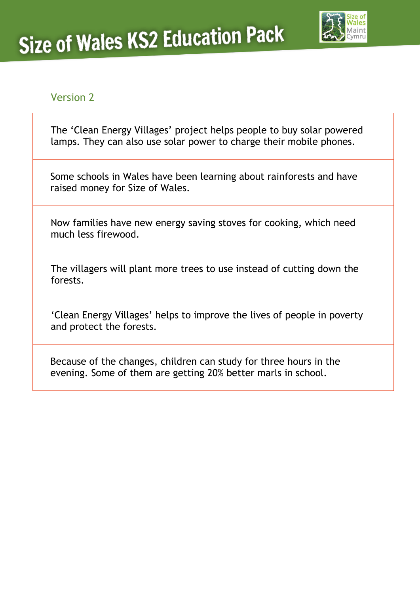

#### Version 2

The 'Clean Energy Villages' project helps people to buy solar powered lamps. They can also use solar power to charge their mobile phones.

Some schools in Wales have been learning about rainforests and have raised money for Size of Wales.

Now families have new energy saving stoves for cooking, which need much less firewood.

The villagers will plant more trees to use instead of cutting down the forests.

'Clean Energy Villages' helps to improve the lives of people in poverty and protect the forests.

Because of the changes, children can study for three hours in the evening. Some of them are getting 20% better marls in school.